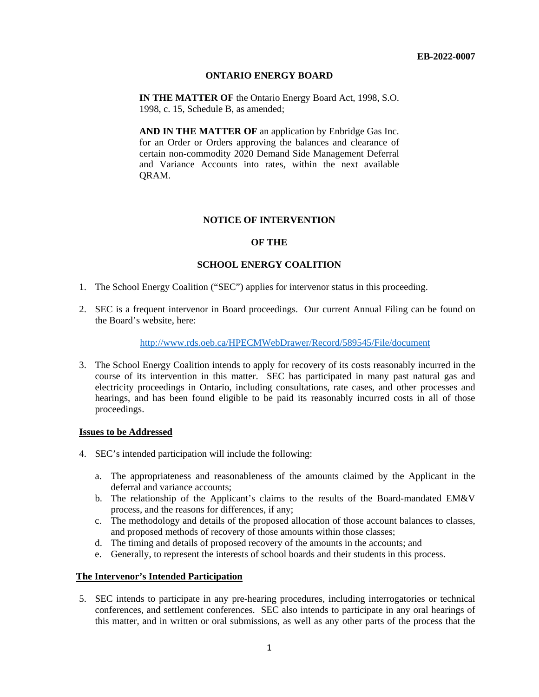## **ONTARIO ENERGY BOARD**

**IN THE MATTER OF** the Ontario Energy Board Act, 1998, S.O. 1998, c. 15, Schedule B, as amended;

**AND IN THE MATTER OF** an application by Enbridge Gas Inc. for an Order or Orders approving the balances and clearance of certain non-commodity 2020 Demand Side Management Deferral and Variance Accounts into rates, within the next available QRAM.

## **NOTICE OF INTERVENTION**

## **OF THE**

#### **SCHOOL ENERGY COALITION**

- 1. The School Energy Coalition ("SEC") applies for intervenor status in this proceeding.
- 2. SEC is a frequent intervenor in Board proceedings. Our current Annual Filing can be found on the Board's website, here:

#### <http://www.rds.oeb.ca/HPECMWebDrawer/Record/589545/File/document>

3. The School Energy Coalition intends to apply for recovery of its costs reasonably incurred in the course of its intervention in this matter. SEC has participated in many past natural gas and electricity proceedings in Ontario, including consultations, rate cases, and other processes and hearings, and has been found eligible to be paid its reasonably incurred costs in all of those proceedings.

#### **Issues to be Addressed**

- 4. SEC's intended participation will include the following:
	- a. The appropriateness and reasonableness of the amounts claimed by the Applicant in the deferral and variance accounts;
	- b. The relationship of the Applicant's claims to the results of the Board-mandated EM&V process, and the reasons for differences, if any;
	- c. The methodology and details of the proposed allocation of those account balances to classes, and proposed methods of recovery of those amounts within those classes;
	- d. The timing and details of proposed recovery of the amounts in the accounts; and
	- e. Generally, to represent the interests of school boards and their students in this process.

# **The Intervenor's Intended Participation**

5. SEC intends to participate in any pre-hearing procedures, including interrogatories or technical conferences, and settlement conferences. SEC also intends to participate in any oral hearings of this matter, and in written or oral submissions, as well as any other parts of the process that the